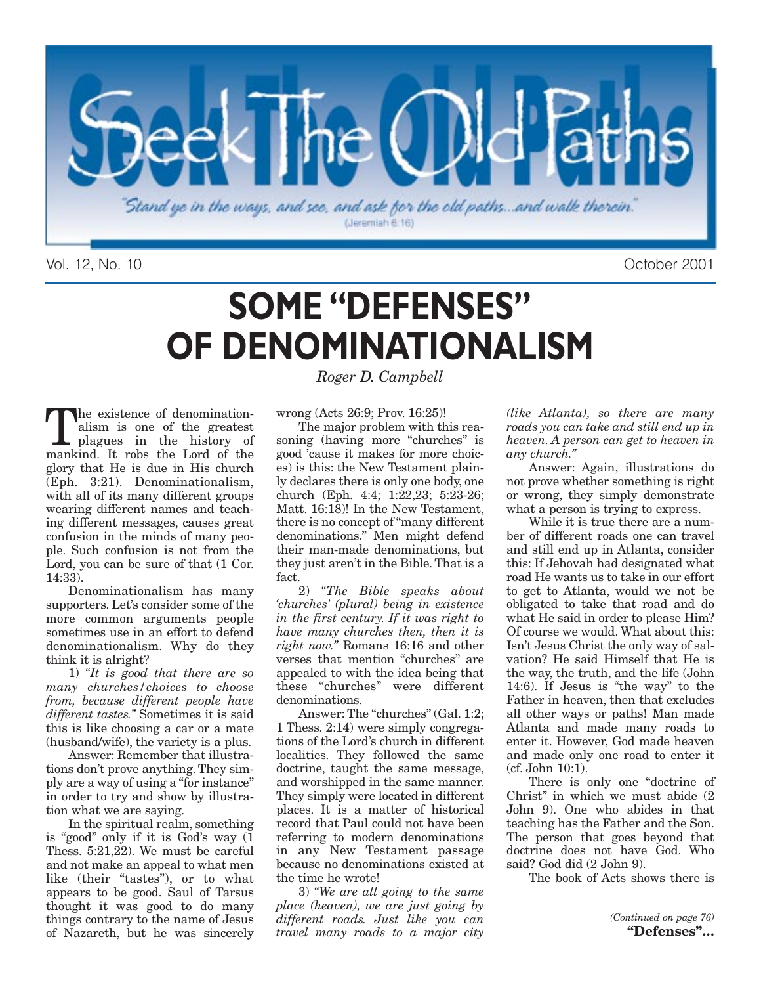

Vol. 12, No. 10 October 2001

## **SOME "DEFENSES" OF DENOMINATIONALISM**

The existence of denomination-<br>alism is one of the greatest<br>plagues in the history of<br>mankind It robs the Lord of the alism is one of the greatest plagues in the history of mankind. It robs the Lord of the glory that He is due in His church (Eph. 3:21). Denominationalism, with all of its many different groups wearing different names and teaching different messages, causes great confusion in the minds of many people. Such confusion is not from the Lord, you can be sure of that (1 Cor. 14:33).

Denominationalism has many supporters. Let's consider some of the more common arguments people sometimes use in an effort to defend denominationalism. Why do they think it is alright?

1) *"It is good that there are so many churches/choices to choose from, because different people have different tastes."* Sometimes it is said this is like choosing a car or a mate (husband/wife), the variety is a plus.

Answer: Remember that illustrations don't prove anything. They simply are a way of using a "for instance" in order to try and show by illustration what we are saying.

In the spiritual realm, something is "good" only if it is God's way (1 Thess. 5:21,22). We must be careful and not make an appeal to what men like (their "tastes"), or to what appears to be good. Saul of Tarsus thought it was good to do many things contrary to the name of Jesus of Nazareth, but he was sincerely

*Roger D. Campbell*

wrong (Acts 26:9; Prov. 16:25)!

The major problem with this reasoning (having more "churches" is good 'cause it makes for more choices) is this: the New Testament plainly declares there is only one body, one church (Eph. 4:4; 1:22,23; 5:23-26; Matt. 16:18)! In the New Testament, there is no concept of "many different denominations." Men might defend their man-made denominations, but they just aren't in the Bible. That is a fact.

2) *"The Bible speaks about 'churches' (plural) being in existence in the first century. If it was right to have many churches then, then it is right now."* Romans 16:16 and other verses that mention "churches" are appealed to with the idea being that these "churches" were different denominations.

Answer: The "churches" (Gal. 1:2; 1 Thess. 2:14) were simply congregations of the Lord's church in different localities. They followed the same doctrine, taught the same message, and worshipped in the same manner. They simply were located in different places. It is a matter of historical record that Paul could not have been referring to modern denominations in any New Testament passage because no denominations existed at the time he wrote!

3) *"We are all going to the same place (heaven), we are just going by different roads. Just like you can travel many roads to a major city*

*(like Atlanta), so there are many roads you can take and still end up in heaven. A person can get to heaven in any church."*

Answer: Again, illustrations do not prove whether something is right or wrong, they simply demonstrate what a person is trying to express.

While it is true there are a number of different roads one can travel and still end up in Atlanta, consider this: If Jehovah had designated what road He wants us to take in our effort to get to Atlanta, would we not be obligated to take that road and do what He said in order to please Him? Of course we would. What about this: Isn't Jesus Christ the only way of salvation? He said Himself that He is the way, the truth, and the life (John 14:6). If Jesus is "the way" to the Father in heaven, then that excludes all other ways or paths! Man made Atlanta and made many roads to enter it. However, God made heaven and made only one road to enter it (cf. John 10:1).

There is only one "doctrine of Christ" in which we must abide (2 John 9). One who abides in that teaching has the Father and the Son. The person that goes beyond that doctrine does not have God. Who said? God did (2 John 9).

The book of Acts shows there is

*(Continued on page 76)* **"Defenses"…**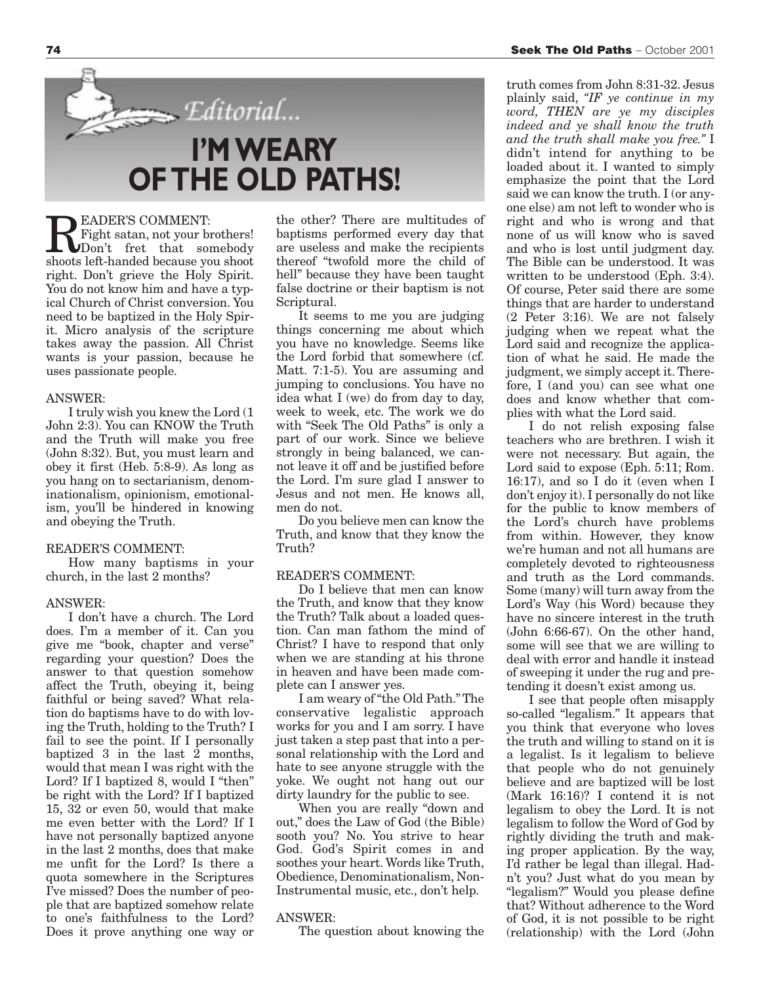**READER'S COMMENT:**<br>Fight satan, not your brothers!<br>shoots left-handed because you shoot Fight satan, not your brothers! **I'M WEARY OF THE OLD PATHS!**

Editorial...

shoots left-handed because you shoot right. Don't grieve the Holy Spirit. You do not know him and have a typical Church of Christ conversion. You need to be baptized in the Holy Spirit. Micro analysis of the scripture takes away the passion. All Christ wants is your passion, because he uses passionate people.

#### ANSWER:

I truly wish you knew the Lord (1 John 2:3). You can KNOW the Truth and the Truth will make you free (John 8:32). But, you must learn and obey it first (Heb. 5:8-9). As long as you hang on to sectarianism, denominationalism, opinionism, emotionalism, you'll be hindered in knowing and obeying the Truth.

#### READER'S COMMENT:

How many baptisms in your church, in the last 2 months?

#### ANSWER:

I don't have a church. The Lord does. I'm a member of it. Can you give me "book, chapter and verse" regarding your question? Does the answer to that question somehow affect the Truth, obeying it, being faithful or being saved? What relation do baptisms have to do with loving the Truth, holding to the Truth? I fail to see the point. If I personally baptized 3 in the last 2 months, would that mean I was right with the Lord? If I baptized 8, would I "then" be right with the Lord? If I baptized 15, 32 or even 50, would that make me even better with the Lord? If I have not personally baptized anyone in the last 2 months, does that make me unfit for the Lord? Is there a quota somewhere in the Scriptures I've missed? Does the number of people that are baptized somehow relate to one's faithfulness to the Lord? Does it prove anything one way or the other? There are multitudes of baptisms performed every day that are useless and make the recipients thereof "twofold more the child of hell" because they have been taught false doctrine or their baptism is not Scriptural.

It seems to me you are judging things concerning me about which you have no knowledge. Seems like the Lord forbid that somewhere (cf. Matt. 7:1-5). You are assuming and jumping to conclusions. You have no idea what I (we) do from day to day, week to week, etc. The work we do with "Seek The Old Paths" is only a part of our work. Since we believe strongly in being balanced, we cannot leave it off and be justified before the Lord. I'm sure glad I answer to Jesus and not men. He knows all, men do not.

Do you believe men can know the Truth, and know that they know the Truth?

#### READER'S COMMENT:

Do I believe that men can know the Truth, and know that they know the Truth? Talk about a loaded question. Can man fathom the mind of Christ? I have to respond that only when we are standing at his throne in heaven and have been made complete can I answer yes.

I am weary of "the Old Path." The conservative legalistic approach works for you and I am sorry. I have just taken a step past that into a personal relationship with the Lord and hate to see anyone struggle with the yoke. We ought not hang out our dirty laundry for the public to see.

When you are really "down and out," does the Law of God (the Bible) sooth you? No. You strive to hear God. God's Spirit comes in and soothes your heart. Words like Truth, Obedience, Denominationalism, Non-Instrumental music, etc., don't help.

#### ANSWER:

The question about knowing the

truth comes from John 8:31-32. Jesus plainly said, *"IF ye continue in my word, THEN are ye my disciples indeed and ye shall know the truth and the truth shall make you free."* I didn't intend for anything to be loaded about it. I wanted to simply emphasize the point that the Lord said we can know the truth. I (or anyone else) am not left to wonder who is right and who is wrong and that none of us will know who is saved and who is lost until judgment day. The Bible can be understood. It was written to be understood (Eph. 3:4). Of course, Peter said there are some things that are harder to understand (2 Peter 3:16). We are not falsely judging when we repeat what the Lord said and recognize the application of what he said. He made the judgment, we simply accept it. Therefore, I (and you) can see what one

plies with what the Lord said. I do not relish exposing false teachers who are brethren. I wish it were not necessary. But again, the Lord said to expose (Eph. 5:11; Rom. 16:17), and so  $\overline{I}$  do it (even when  $\overline{I}$ don't enjoy it). I personally do not like for the public to know members of the Lord's church have problems from within. However, they know we're human and not all humans are completely devoted to righteousness and truth as the Lord commands. Some (many) will turn away from the Lord's Way (his Word) because they have no sincere interest in the truth (John 6:66-67). On the other hand, some will see that we are willing to deal with error and handle it instead of sweeping it under the rug and pretending it doesn't exist among us.

does and know whether that com-

I see that people often misapply so-called "legalism." It appears that you think that everyone who loves the truth and willing to stand on it is a legalist. Is it legalism to believe that people who do not genuinely believe and are baptized will be lost (Mark 16:16)? I contend it is not legalism to obey the Lord. It is not legalism to follow the Word of God by rightly dividing the truth and making proper application. By the way, I'd rather be legal than illegal. Hadn't you? Just what do you mean by "legalism?" Would you please define that? Without adherence to the Word of God, it is not possible to be right (relationship) with the Lord (John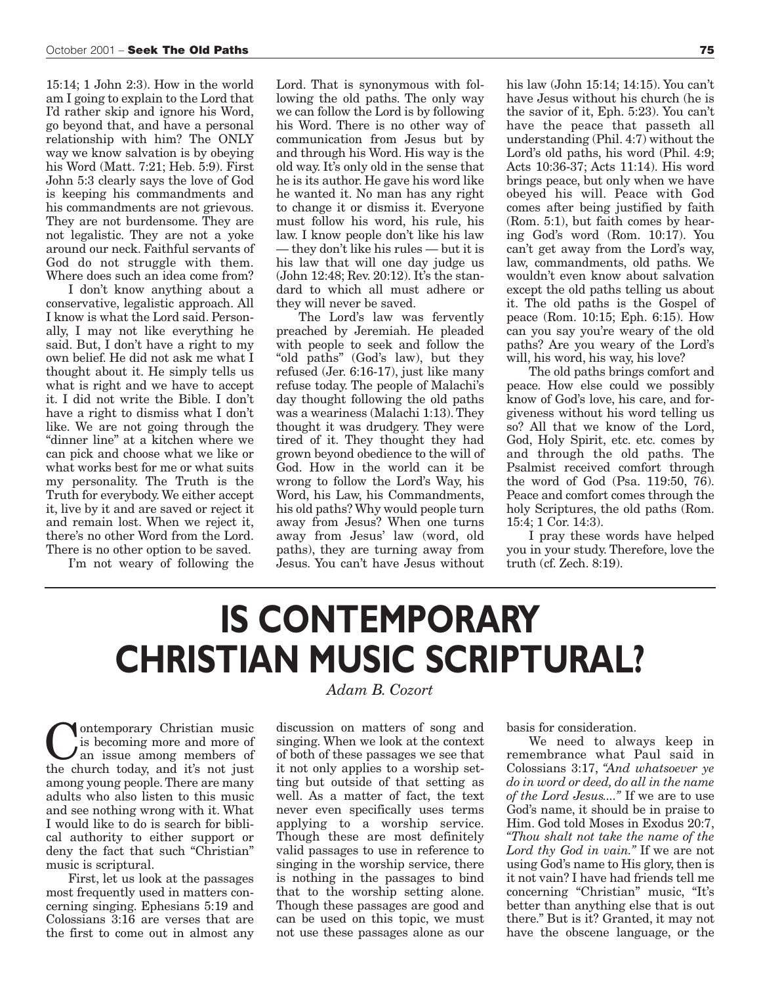15:14; 1 John 2:3). How in the world am I going to explain to the Lord that I'd rather skip and ignore his Word, go beyond that, and have a personal relationship with him? The ONLY way we know salvation is by obeying his Word (Matt. 7:21; Heb. 5:9). First John 5:3 clearly says the love of God is keeping his commandments and his commandments are not grievous. They are not burdensome. They are not legalistic. They are not a yoke around our neck. Faithful servants of God do not struggle with them. Where does such an idea come from?

I don't know anything about a conservative, legalistic approach. All I know is what the Lord said. Personally, I may not like everything he said. But, I don't have a right to my own belief. He did not ask me what I thought about it. He simply tells us what is right and we have to accept it. I did not write the Bible. I don't have a right to dismiss what I don't like. We are not going through the "dinner line" at a kitchen where we can pick and choose what we like or what works best for me or what suits my personality. The Truth is the Truth for everybody. We either accept it, live by it and are saved or reject it and remain lost. When we reject it, there's no other Word from the Lord. There is no other option to be saved.

I'm not weary of following the

Lord. That is synonymous with following the old paths. The only way we can follow the Lord is by following his Word. There is no other way of communication from Jesus but by and through his Word. His way is the old way. It's only old in the sense that he is its author. He gave his word like he wanted it. No man has any right to change it or dismiss it. Everyone must follow his word, his rule, his law. I know people don't like his law — they don't like his rules — but it is his law that will one day judge us (John 12:48; Rev. 20:12). It's the standard to which all must adhere or they will never be saved.

The Lord's law was fervently preached by Jeremiah. He pleaded with people to seek and follow the "old paths" (God's law), but they refused (Jer. 6:16-17), just like many refuse today. The people of Malachi's day thought following the old paths was a weariness (Malachi 1:13). They thought it was drudgery. They were tired of it. They thought they had grown beyond obedience to the will of God. How in the world can it be wrong to follow the Lord's Way, his Word, his Law, his Commandments, his old paths? Why would people turn away from Jesus? When one turns away from Jesus' law (word, old paths), they are turning away from Jesus. You can't have Jesus without

his law (John 15:14; 14:15). You can't have Jesus without his church (he is the savior of it, Eph. 5:23). You can't have the peace that passeth all understanding (Phil. 4:7) without the Lord's old paths, his word (Phil. 4:9; Acts 10:36-37; Acts 11:14). His word brings peace, but only when we have obeyed his will. Peace with God comes after being justified by faith (Rom. 5:1), but faith comes by hearing God's word (Rom. 10:17). You can't get away from the Lord's way, law, commandments, old paths. We wouldn't even know about salvation except the old paths telling us about it. The old paths is the Gospel of peace (Rom. 10:15; Eph. 6:15). How can you say you're weary of the old paths? Are you weary of the Lord's will, his word, his way, his love?

The old paths brings comfort and peace. How else could we possibly know of God's love, his care, and forgiveness without his word telling us so? All that we know of the Lord, God, Holy Spirit, etc. etc. comes by and through the old paths. The Psalmist received comfort through the word of God (Psa. 119:50, 76). Peace and comfort comes through the holy Scriptures, the old paths (Rom. 15:4; 1 Cor. 14:3).

I pray these words have helped you in your study. Therefore, love the truth (cf. Zech. 8:19).

## **IS CONTEMPORARY CHRISTIAN MUSIC SCRIPTURAL?**

**C** is becoming more and more of<br>an issue among members of<br>the church today and it's not just is becoming more and more of the church today, and it's not just among young people. There are many adults who also listen to this music and see nothing wrong with it. What I would like to do is search for biblical authority to either support or deny the fact that such "Christian" music is scriptural.

First, let us look at the passages most frequently used in matters concerning singing. Ephesians 5:19 and Colossians 3:16 are verses that are the first to come out in almost any

#### *Adam B. Cozort*

discussion on matters of song and singing. When we look at the context of both of these passages we see that it not only applies to a worship setting but outside of that setting as well. As a matter of fact, the text never even specifically uses terms applying to a worship service. Though these are most definitely valid passages to use in reference to singing in the worship service, there is nothing in the passages to bind that to the worship setting alone. Though these passages are good and can be used on this topic, we must not use these passages alone as our

basis for consideration.

We need to always keep in remembrance what Paul said in Colossians 3:17, *"And whatsoever ye do in word or deed, do all in the name of the Lord Jesus...."* If we are to use God's name, it should be in praise to Him. God told Moses in Exodus 20:7, *"Thou shalt not take the name of the Lord thy God in vain."* If we are not using God's name to His glory, then is it not vain? I have had friends tell me concerning "Christian" music, "It's better than anything else that is out there." But is it? Granted, it may not have the obscene language, or the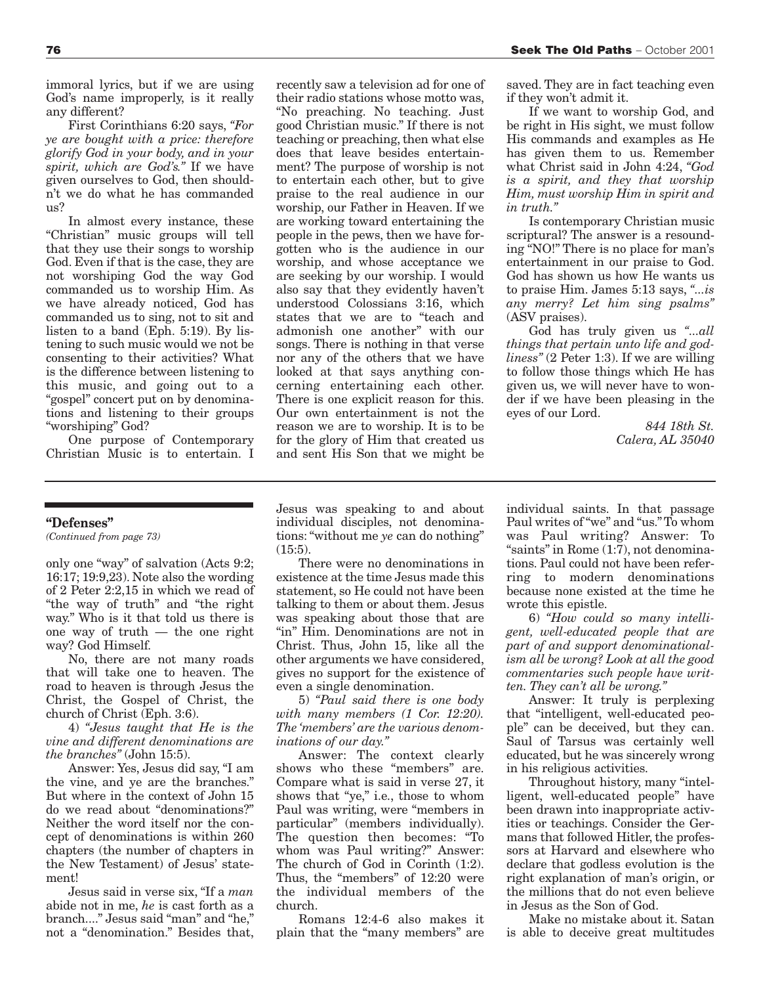immoral lyrics, but if we are using God's name improperly, is it really any different?

First Corinthians 6:20 says, *"For ye are bought with a price: therefore glorify God in your body, and in your spirit, which are God's."* If we have given ourselves to God, then shouldn't we do what he has commanded us?

In almost every instance, these "Christian" music groups will tell that they use their songs to worship God. Even if that is the case, they are not worshiping God the way God commanded us to worship Him. As we have already noticed, God has commanded us to sing, not to sit and listen to a band (Eph. 5:19). By listening to such music would we not be consenting to their activities? What is the difference between listening to this music, and going out to a "gospel" concert put on by denominations and listening to their groups "worshiping" God?

One purpose of Contemporary Christian Music is to entertain. I

#### **"Defenses"**

*(Continued from page 73)*

only one "way" of salvation (Acts 9:2; 16:17; 19:9,23). Note also the wording of 2 Peter 2:2,15 in which we read of "the way of truth" and "the right way." Who is it that told us there is one way of truth — the one right way? God Himself.

No, there are not many roads that will take one to heaven. The road to heaven is through Jesus the Christ, the Gospel of Christ, the church of Christ (Eph. 3:6).

4) *"Jesus taught that He is the vine and different denominations are the branches"* (John 15:5).

Answer: Yes, Jesus did say, "I am the vine, and ye are the branches." But where in the context of John 15 do we read about "denominations?" Neither the word itself nor the concept of denominations is within 260 chapters (the number of chapters in the New Testament) of Jesus' statement!

Jesus said in verse six, "If a *man* abide not in me, *he* is cast forth as a branch...." Jesus said "man" and "he," not a "denomination." Besides that,

recently saw a television ad for one of their radio stations whose motto was, "No preaching. No teaching. Just good Christian music." If there is not teaching or preaching, then what else does that leave besides entertainment? The purpose of worship is not to entertain each other, but to give praise to the real audience in our worship, our Father in Heaven. If we are working toward entertaining the people in the pews, then we have forgotten who is the audience in our worship, and whose acceptance we are seeking by our worship. I would also say that they evidently haven't understood Colossians 3:16, which states that we are to "teach and admonish one another" with our songs. There is nothing in that verse nor any of the others that we have looked at that says anything concerning entertaining each other. There is one explicit reason for this. Our own entertainment is not the reason we are to worship. It is to be for the glory of Him that created us and sent His Son that we might be

saved. They are in fact teaching even if they won't admit it.

If we want to worship God, and be right in His sight, we must follow His commands and examples as He has given them to us. Remember what Christ said in John 4:24, *"God is a spirit, and they that worship Him, must worship Him in spirit and in truth."*

Is contemporary Christian music scriptural? The answer is a resounding "NO!" There is no place for man's entertainment in our praise to God. God has shown us how He wants us to praise Him. James 5:13 says, *"...is any merry? Let him sing psalms"* (ASV praises).

God has truly given us *"...all things that pertain unto life and godliness"* (2 Peter 1:3). If we are willing to follow those things which He has given us, we will never have to wonder if we have been pleasing in the eyes of our Lord.

> *844 18th St. Calera, AL 35040*

Jesus was speaking to and about individual disciples, not denominations: "without me *ye* can do nothing"  $(15:5)$ .

There were no denominations in existence at the time Jesus made this statement, so He could not have been talking to them or about them. Jesus was speaking about those that are "in" Him. Denominations are not in Christ. Thus, John 15, like all the other arguments we have considered, gives no support for the existence of even a single denomination.

5) *"Paul said there is one body with many members (1 Cor. 12:20). The 'members' are the various denominations of our day."*

Answer: The context clearly shows who these "members" are. Compare what is said in verse 27, it shows that "ye," i.e., those to whom Paul was writing, were "members in particular" (members individually). The question then becomes: "To whom was Paul writing?" Answer: The church of God in Corinth (1:2). Thus, the "members" of 12:20 were the individual members of the church.

Romans 12:4-6 also makes it plain that the "many members" are

individual saints. In that passage Paul writes of "we" and "us." To whom was Paul writing? Answer: To "saints" in Rome (1:7), not denominations. Paul could not have been referring to modern denominations because none existed at the time he wrote this epistle.

6) *"How could so many intelligent, well-educated people that are part of and support denominationalism all be wrong? Look at all the good commentaries such people have written. They can't all be wrong."*

Answer: It truly is perplexing that "intelligent, well-educated people" can be deceived, but they can. Saul of Tarsus was certainly well educated, but he was sincerely wrong in his religious activities.

Throughout history, many "intelligent, well-educated people" have been drawn into inappropriate activities or teachings. Consider the Germans that followed Hitler, the professors at Harvard and elsewhere who declare that godless evolution is the right explanation of man's origin, or the millions that do not even believe in Jesus as the Son of God.

Make no mistake about it. Satan is able to deceive great multitudes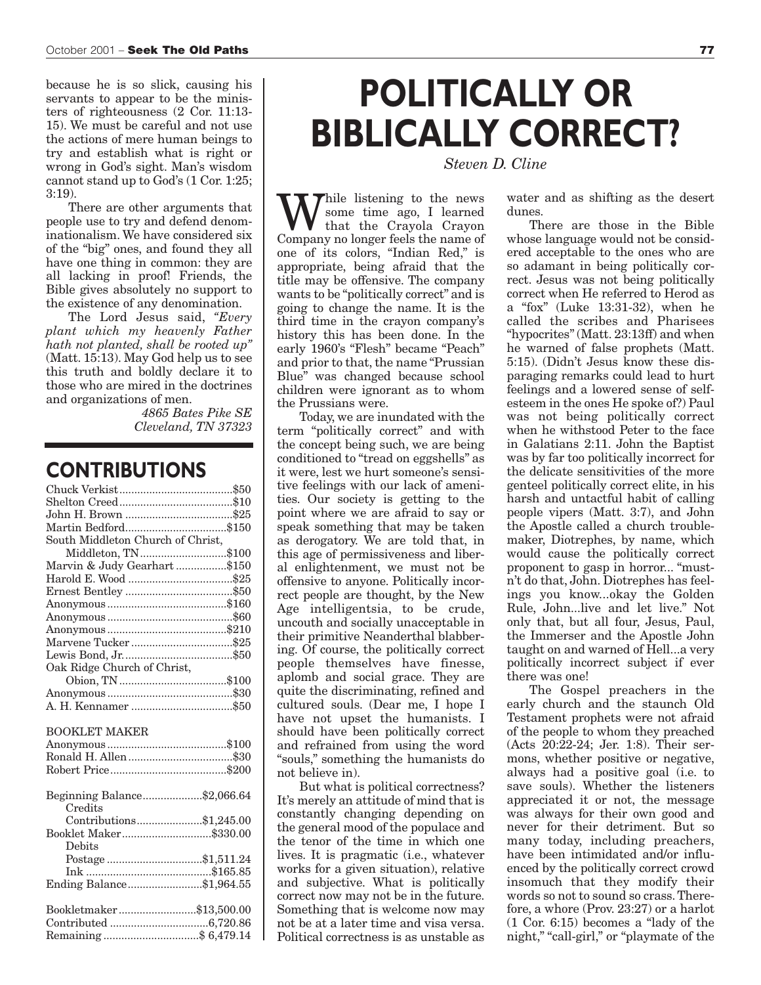because he is so slick, causing his servants to appear to be the ministers of righteousness (2 Cor. 11:13- 15). We must be careful and not use the actions of mere human beings to try and establish what is right or wrong in God's sight. Man's wisdom cannot stand up to God's (1 Cor. 1:25; 3:19).

There are other arguments that people use to try and defend denominationalism. We have considered six of the "big" ones, and found they all have one thing in common: they are all lacking in proof! Friends, the Bible gives absolutely no support to the existence of any denomination.

The Lord Jesus said, *"Every plant which my heavenly Father hath not planted, shall be rooted up"* (Matt. 15:13). May God help us to see this truth and boldly declare it to those who are mired in the doctrines and organizations of men.

> *4865 Bates Pike SE Cleveland, TN 37323*

### **CONTRIBUTIONS**

| South Middleton Church of Christ, |  |
|-----------------------------------|--|
| Middleton, TN\$100                |  |
| Marvin & Judy Gearhart \$150      |  |
|                                   |  |
|                                   |  |
|                                   |  |
|                                   |  |
|                                   |  |
|                                   |  |
|                                   |  |
| Oak Ridge Church of Christ,       |  |
|                                   |  |
|                                   |  |
|                                   |  |
|                                   |  |
|                                   |  |
| <b>BOOKLET MAKER</b>              |  |
|                                   |  |
|                                   |  |
|                                   |  |
|                                   |  |
| Beginning Balance\$2,066.64       |  |
| Credits                           |  |
| Contributions\$1,245.00           |  |
| Booklet Maker\$330.00             |  |
| Debits                            |  |
| Postage\$1,511.24                 |  |
|                                   |  |
| Ending Balance\$1,964.55          |  |
|                                   |  |
| Bookletmaker\$13,500.00           |  |
|                                   |  |

### **POLITICALLY OR BIBLICALLY CORRECT?**

*Steven D. Cline*

While listening to the news<br>that the Crayola Crayon<br>Company no longer feels the name of some time ago, I learned Company no longer feels the name of one of its colors, "Indian Red," is appropriate, being afraid that the title may be offensive. The company wants to be "politically correct" and is going to change the name. It is the third time in the crayon company's history this has been done. In the early 1960's "Flesh" became "Peach" and prior to that, the name "Prussian Blue" was changed because school children were ignorant as to whom the Prussians were.

Today, we are inundated with the term "politically correct" and with the concept being such, we are being conditioned to "tread on eggshells" as it were, lest we hurt someone's sensitive feelings with our lack of amenities. Our society is getting to the point where we are afraid to say or speak something that may be taken as derogatory. We are told that, in this age of permissiveness and liberal enlightenment, we must not be offensive to anyone. Politically incorrect people are thought, by the New Age intelligentsia, to be crude, uncouth and socially unacceptable in their primitive Neanderthal blabbering. Of course, the politically correct people themselves have finesse, aplomb and social grace. They are quite the discriminating, refined and cultured souls. (Dear me, I hope I have not upset the humanists. I should have been politically correct and refrained from using the word "souls," something the humanists do not believe in).

But what is political correctness? It's merely an attitude of mind that is constantly changing depending on the general mood of the populace and the tenor of the time in which one lives. It is pragmatic (i.e., whatever works for a given situation), relative and subjective. What is politically correct now may not be in the future. Something that is welcome now may not be at a later time and visa versa. Political correctness is as unstable as water and as shifting as the desert dunes.

There are those in the Bible whose language would not be considered acceptable to the ones who are so adamant in being politically correct. Jesus was not being politically correct when He referred to Herod as a "fox" (Luke 13:31-32), when he called the scribes and Pharisees "hypocrites" (Matt. 23:13ff) and when he warned of false prophets (Matt. 5:15). (Didn't Jesus know these disparaging remarks could lead to hurt feelings and a lowered sense of selfesteem in the ones He spoke of?) Paul was not being politically correct when he withstood Peter to the face in Galatians 2:11. John the Baptist was by far too politically incorrect for the delicate sensitivities of the more genteel politically correct elite, in his harsh and untactful habit of calling people vipers (Matt. 3:7), and John the Apostle called a church troublemaker, Diotrephes, by name, which would cause the politically correct proponent to gasp in horror... "mustn't do that, John. Diotrephes has feelings you know...okay the Golden Rule, John...live and let live." Not only that, but all four, Jesus, Paul, the Immerser and the Apostle John taught on and warned of Hell...a very politically incorrect subject if ever there was one!

The Gospel preachers in the early church and the staunch Old Testament prophets were not afraid of the people to whom they preached (Acts 20:22-24; Jer. 1:8). Their sermons, whether positive or negative, always had a positive goal (i.e. to save souls). Whether the listeners appreciated it or not, the message was always for their own good and never for their detriment. But so many today, including preachers, have been intimidated and/or influenced by the politically correct crowd insomuch that they modify their words so not to sound so crass. Therefore, a whore (Prov. 23:27) or a harlot (1 Cor. 6:15) becomes a "lady of the night," "call-girl," or "playmate of the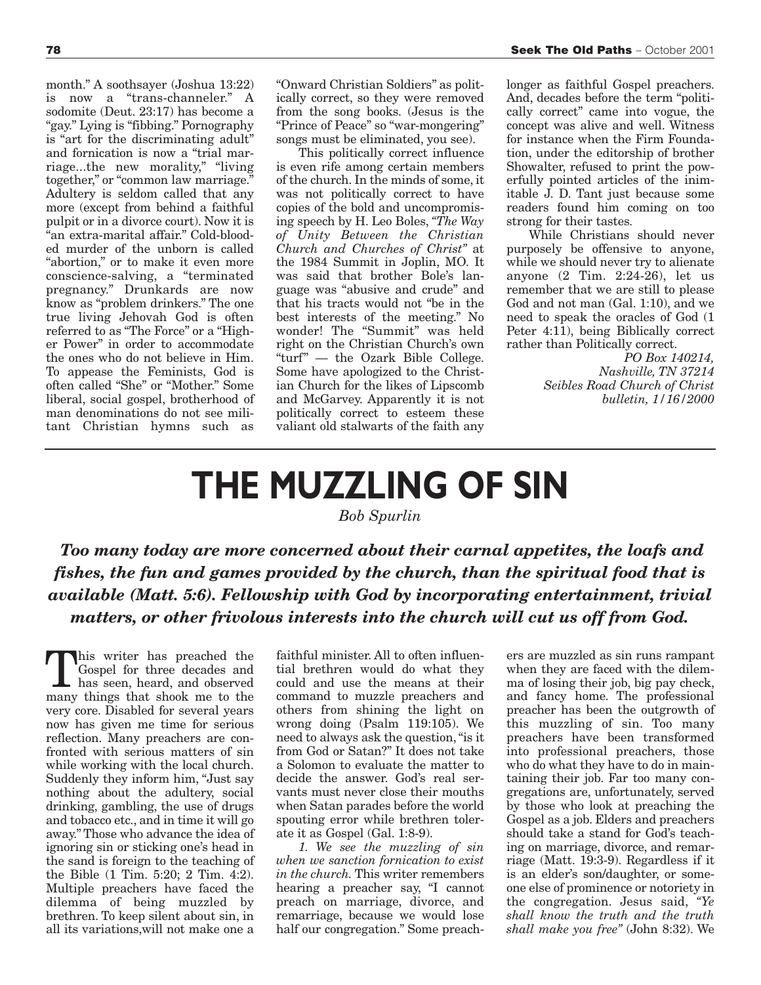month." A soothsayer (Joshua 13:22) is now a "trans-channeler." A sodomite (Deut. 23:17) has become a "gay." Lying is "fibbing." Pornography is "art for the discriminating adult" and fornication is now a "trial marriage...the new morality," "living together," or "common law marriage." Adultery is seldom called that any more (except from behind a faithful pulpit or in a divorce court). Now it is "an extra-marital affair." Cold-blooded murder of the unborn is called "abortion," or to make it even more conscience-salving, a "terminated pregnancy." Drunkards are now know as "problem drinkers." The one true living Jehovah God is often referred to as "The Force" or a "Higher Power" in order to accommodate the ones who do not believe in Him. To appease the Feminists, God is often called "She" or "Mother." Some liberal, social gospel, brotherhood of man denominations do not see militant Christian hymns such as

"Onward Christian Soldiers" as politically correct, so they were removed from the song books. (Jesus is the "Prince of Peace" so "war-mongering" songs must be eliminated, you see).

This politically correct influence is even rife among certain members of the church. In the minds of some, it was not politically correct to have copies of the bold and uncompromising speech by H. Leo Boles, *"The Way of Unity Between the Christian Church and Churches of Christ"* at the 1984 Summit in Joplin, MO. It was said that brother Bole's language was "abusive and crude" and that his tracts would not "be in the best interests of the meeting." No wonder! The "Summit" was held right on the Christian Church's own "turf" — the Ozark Bible College. Some have apologized to the Christian Church for the likes of Lipscomb and McGarvey. Apparently it is not politically correct to esteem these valiant old stalwarts of the faith any

longer as faithful Gospel preachers. And, decades before the term "politically correct" came into vogue, the concept was alive and well. Witness for instance when the Firm Foundation, under the editorship of brother Showalter, refused to print the powerfully pointed articles of the inimitable J. D. Tant just because some readers found him coming on too strong for their tastes.

While Christians should never purposely be offensive to anyone, while we should never try to alienate anyone (2 Tim. 2:24-26), let us remember that we are still to please God and not man (Gal. 1:10), and we need to speak the oracles of God (1 Peter 4:11), being Biblically correct rather than Politically correct.

> *PO Box 140214, Nashville, TN 37214 Seibles Road Church of Christ bulletin, 1/16/2000*

# **THE MUZZLING OF SIN**

*Bob Spurlin*

*Too many today are more concerned about their carnal appetites, the loafs and fishes, the fun and games provided by the church, than the spiritual food that is available (Matt. 5:6). Fellowship with God by incorporating entertainment, trivial matters, or other frivolous interests into the church will cut us off from God.*

his writer has preached the Gospel for three decades and has seen, heard, and observed many things that shook me to the very core. Disabled for several years now has given me time for serious reflection. Many preachers are confronted with serious matters of sin while working with the local church. Suddenly they inform him, "Just say nothing about the adultery, social drinking, gambling, the use of drugs and tobacco etc., and in time it will go away." Those who advance the idea of ignoring sin or sticking one's head in the sand is foreign to the teaching of the Bible (1 Tim. 5:20; 2 Tim. 4:2). Multiple preachers have faced the dilemma of being muzzled by brethren. To keep silent about sin, in all its variations,will not make one a

faithful minister. All to often influential brethren would do what they could and use the means at their command to muzzle preachers and others from shining the light on wrong doing (Psalm 119:105). We need to always ask the question, "is it from God or Satan?" It does not take a Solomon to evaluate the matter to decide the answer. God's real servants must never close their mouths when Satan parades before the world spouting error while brethren tolerate it as Gospel (Gal. 1:8-9).

*1. We see the muzzling of sin when we sanction fornication to exist in the church.* This writer remembers hearing a preacher say, "I cannot preach on marriage, divorce, and remarriage, because we would lose half our congregation." Some preachers are muzzled as sin runs rampant when they are faced with the dilemma of losing their job, big pay check, and fancy home. The professional preacher has been the outgrowth of this muzzling of sin. Too many preachers have been transformed into professional preachers, those who do what they have to do in maintaining their job. Far too many congregations are, unfortunately, served by those who look at preaching the Gospel as a job. Elders and preachers should take a stand for God's teaching on marriage, divorce, and remarriage (Matt. 19:3-9). Regardless if it is an elder's son/daughter, or someone else of prominence or notoriety in the congregation. Jesus said, *"Ye shall know the truth and the truth shall make you free"* (John 8:32). We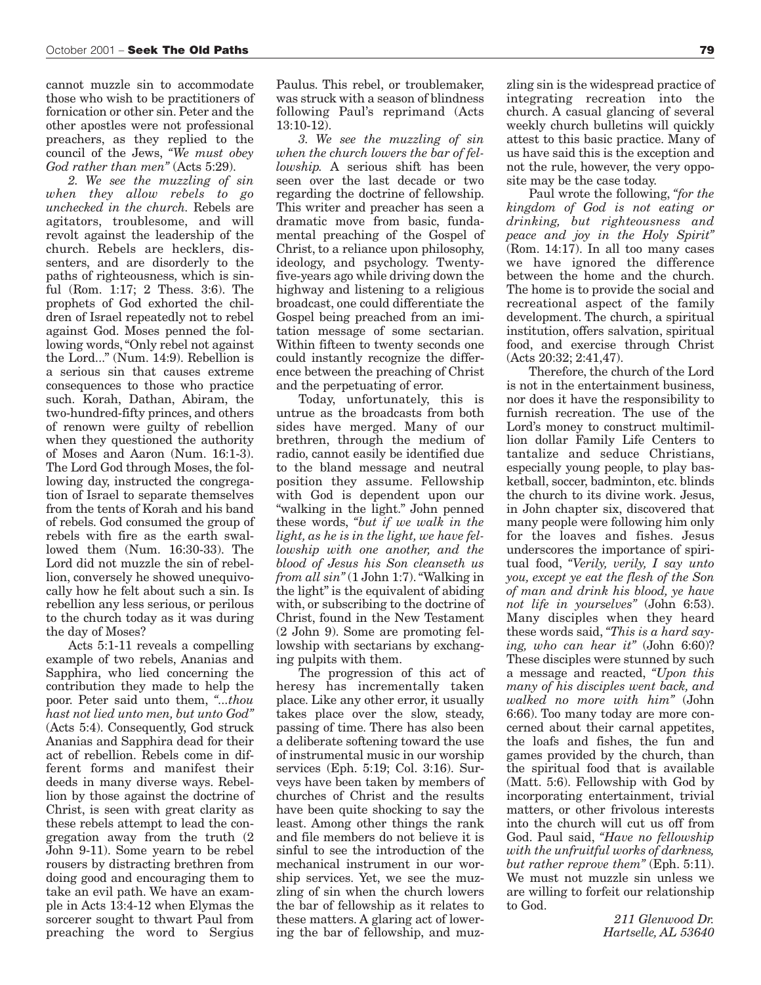cannot muzzle sin to accommodate those who wish to be practitioners of fornication or other sin. Peter and the other apostles were not professional preachers, as they replied to the council of the Jews, *"We must obey God rather than men"* (Acts 5:29).

*2. We see the muzzling of sin when they allow rebels to go unchecked in the church.* Rebels are agitators, troublesome, and will revolt against the leadership of the church. Rebels are hecklers, dissenters, and are disorderly to the paths of righteousness, which is sinful (Rom. 1:17; 2 Thess. 3:6). The prophets of God exhorted the children of Israel repeatedly not to rebel against God. Moses penned the following words, "Only rebel not against the Lord..." (Num. 14:9). Rebellion is a serious sin that causes extreme consequences to those who practice such. Korah, Dathan, Abiram, the two-hundred-fifty princes, and others of renown were guilty of rebellion when they questioned the authority of Moses and Aaron (Num. 16:1-3). The Lord God through Moses, the following day, instructed the congregation of Israel to separate themselves from the tents of Korah and his band of rebels. God consumed the group of rebels with fire as the earth swallowed them (Num. 16:30-33). The Lord did not muzzle the sin of rebellion, conversely he showed unequivocally how he felt about such a sin. Is rebellion any less serious, or perilous to the church today as it was during the day of Moses?

Acts 5:1-11 reveals a compelling example of two rebels, Ananias and Sapphira, who lied concerning the contribution they made to help the poor. Peter said unto them, *"...thou hast not lied unto men, but unto God"* (Acts 5:4). Consequently, God struck Ananias and Sapphira dead for their act of rebellion. Rebels come in different forms and manifest their deeds in many diverse ways. Rebellion by those against the doctrine of Christ, is seen with great clarity as these rebels attempt to lead the congregation away from the truth (2 John 9-11). Some yearn to be rebel rousers by distracting brethren from doing good and encouraging them to take an evil path. We have an example in Acts 13:4-12 when Elymas the sorcerer sought to thwart Paul from preaching the word to Sergius

Paulus. This rebel, or troublemaker, was struck with a season of blindness following Paul's reprimand (Acts 13:10-12).

*3. We see the muzzling of sin when the church lowers the bar of fellowship.* A serious shift has been seen over the last decade or two regarding the doctrine of fellowship. This writer and preacher has seen a dramatic move from basic, fundamental preaching of the Gospel of Christ, to a reliance upon philosophy, ideology, and psychology. Twentyfive-years ago while driving down the highway and listening to a religious broadcast, one could differentiate the Gospel being preached from an imitation message of some sectarian. Within fifteen to twenty seconds one could instantly recognize the difference between the preaching of Christ and the perpetuating of error.

Today, unfortunately, this is untrue as the broadcasts from both sides have merged. Many of our brethren, through the medium of radio, cannot easily be identified due to the bland message and neutral position they assume. Fellowship with God is dependent upon our "walking in the light." John penned these words, *"but if we walk in the light, as he is in the light, we have fellowship with one another, and the blood of Jesus his Son cleanseth us from all sin"*(1 John 1:7). "Walking in the light" is the equivalent of abiding with, or subscribing to the doctrine of Christ, found in the New Testament (2 John 9). Some are promoting fellowship with sectarians by exchanging pulpits with them.

The progression of this act of heresy has incrementally taken place. Like any other error, it usually takes place over the slow, steady, passing of time. There has also been a deliberate softening toward the use of instrumental music in our worship services (Eph. 5:19; Col. 3:16). Surveys have been taken by members of churches of Christ and the results have been quite shocking to say the least. Among other things the rank and file members do not believe it is sinful to see the introduction of the mechanical instrument in our worship services. Yet, we see the muzzling of sin when the church lowers the bar of fellowship as it relates to these matters. A glaring act of lowering the bar of fellowship, and muz-

zling sin is the widespread practice of integrating recreation into the church. A casual glancing of several weekly church bulletins will quickly attest to this basic practice. Many of us have said this is the exception and not the rule, however, the very opposite may be the case today.

Paul wrote the following, *"for the kingdom of God is not eating or drinking, but righteousness and peace and joy in the Holy Spirit"* (Rom. 14:17). In all too many cases we have ignored the difference between the home and the church. The home is to provide the social and recreational aspect of the family development. The church, a spiritual institution, offers salvation, spiritual food, and exercise through Christ (Acts 20:32; 2:41,47).

Therefore, the church of the Lord is not in the entertainment business, nor does it have the responsibility to furnish recreation. The use of the Lord's money to construct multimillion dollar Family Life Centers to tantalize and seduce Christians, especially young people, to play basketball, soccer, badminton, etc. blinds the church to its divine work. Jesus, in John chapter six, discovered that many people were following him only for the loaves and fishes. Jesus underscores the importance of spiritual food, *"Verily, verily, I say unto you, except ye eat the flesh of the Son of man and drink his blood, ye have not life in yourselves"* (John 6:53). Many disciples when they heard these words said, *"This is a hard saying, who can hear it"* (John 6:60)? These disciples were stunned by such a message and reacted, *"Upon this many of his disciples went back, and walked no more with him"* (John 6:66). Too many today are more concerned about their carnal appetites, the loafs and fishes, the fun and games provided by the church, than the spiritual food that is available (Matt. 5:6). Fellowship with God by incorporating entertainment, trivial matters, or other frivolous interests into the church will cut us off from God. Paul said, *"Have no fellowship with the unfruitful works of darkness, but rather reprove them"* (Eph. 5:11). We must not muzzle sin unless we are willing to forfeit our relationship to God.

> *211 Glenwood Dr. Hartselle, AL 53640*